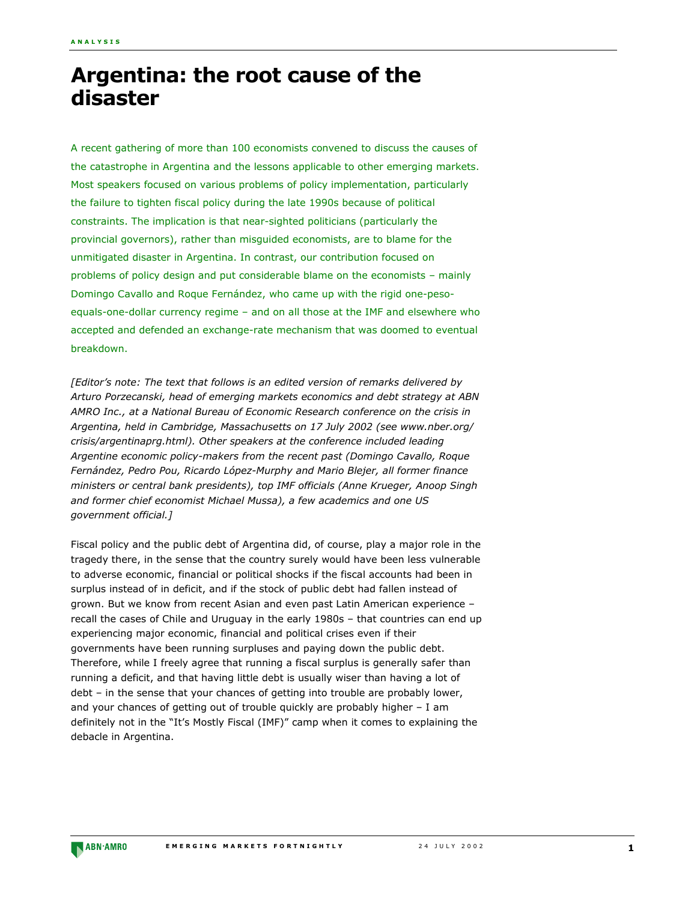## **Argentina: the root cause of the disaster**

A recent gathering of more than 100 economists convened to discuss the causes of the catastrophe in Argentina and the lessons applicable to other emerging markets. Most speakers focused on various problems of policy implementation, particularly the failure to tighten fiscal policy during the late 1990s because of political constraints. The implication is that near-sighted politicians (particularly the provincial governors), rather than misguided economists, are to blame for the unmitigated disaster in Argentina. In contrast, our contribution focused on problems of policy design and put considerable blame on the economists - mainly Domingo Cavallo and Roque Fernández, who came up with the rigid one-pesoequals-one-dollar currency regime - and on all those at the IMF and elsewhere who accepted and defended an exchange-rate mechanism that was doomed to eventual breakdown.

*[Editorís note: The text that follows is an edited version of remarks delivered by Arturo Porzecanski, head of emerging markets economics and debt strategy at ABN AMRO Inc., at a National Bureau of Economic Research conference on the crisis in Argentina, held in Cambridge, Massachusetts on 17 July 2002 (see www.nber.org/ crisis/argentinaprg.html). Other speakers at the conference included leading Argentine economic policy-makers from the recent past (Domingo Cavallo, Roque* Fernández, Pedro Pou, Ricardo López-Murphy and Mario Blejer, all former finance *ministers or central bank presidents), top IMF officials (Anne Krueger, Anoop Singh and former chief economist Michael Mussa), a few academics and one US government official.]*

Fiscal policy and the public debt of Argentina did, of course, play a major role in the tragedy there, in the sense that the country surely would have been less vulnerable to adverse economic, financial or political shocks if the fiscal accounts had been in surplus instead of in deficit, and if the stock of public debt had fallen instead of grown. But we know from recent Asian and even past Latin American experience recall the cases of Chile and Uruguay in the early 1980s - that countries can end up experiencing major economic, financial and political crises even if their governments have been running surpluses and paying down the public debt. Therefore, while I freely agree that running a fiscal surplus is generally safer than running a deficit, and that having little debt is usually wiser than having a lot of debt - in the sense that your chances of getting into trouble are probably lower, and your chances of getting out of trouble quickly are probably higher  $-1$  am definitely not in the "It's Mostly Fiscal (IMF)" camp when it comes to explaining the debacle in Argentina.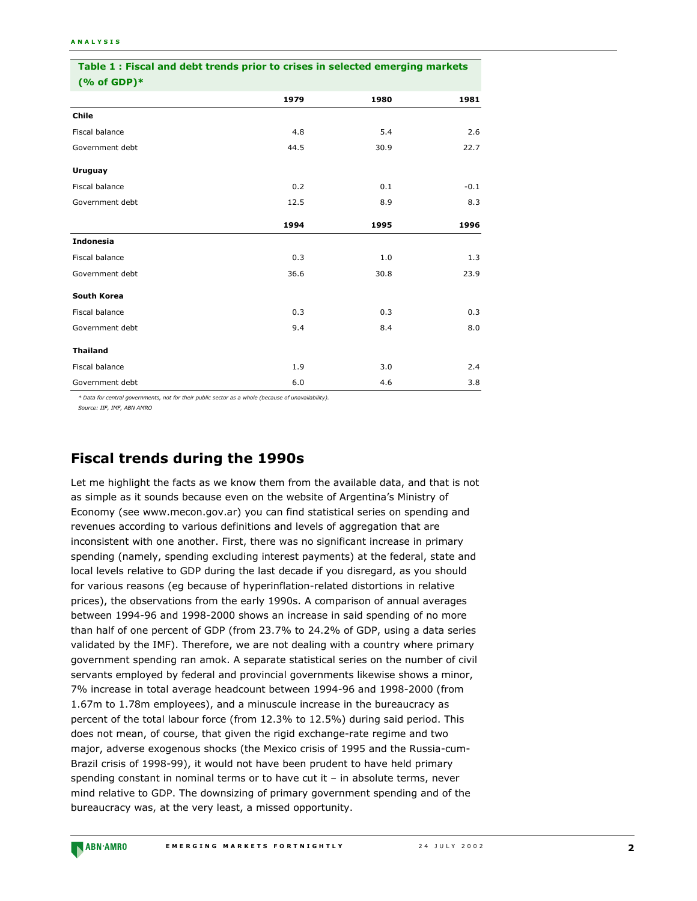| Table 1: Fiscal and debt trends prior to crises in selected emerging markets<br>$(% of GDP)*$ |      |      |        |
|-----------------------------------------------------------------------------------------------|------|------|--------|
|                                                                                               |      |      |        |
| Chile                                                                                         |      |      |        |
| Fiscal balance                                                                                | 4.8  | 5.4  | 2.6    |
| Government debt                                                                               | 44.5 | 30.9 | 22.7   |
| Uruguay                                                                                       |      |      |        |
| Fiscal balance                                                                                | 0.2  | 0.1  | $-0.1$ |
| Government debt                                                                               | 12.5 | 8.9  | 8.3    |
|                                                                                               | 1994 | 1995 | 1996   |
| <b>Indonesia</b>                                                                              |      |      |        |
| Fiscal balance                                                                                | 0.3  | 1.0  | 1.3    |
| Government debt                                                                               | 36.6 | 30.8 | 23.9   |
| South Korea                                                                                   |      |      |        |
| Fiscal balance                                                                                | 0.3  | 0.3  | 0.3    |
| Government debt                                                                               | 9.4  | 8.4  | 8.0    |
| <b>Thailand</b>                                                                               |      |      |        |
| Fiscal balance                                                                                | 1.9  | 3.0  | 2.4    |
| Government debt                                                                               | 6.0  | 4.6  | 3.8    |

*\* Data for central governments, not for their public sector as a whole (because of unavailability).*

*Source: IIF, IMF, ABN AMRO*

## **Fiscal trends during the 1990s**

Let me highlight the facts as we know them from the available data, and that is not as simple as it sounds because even on the website of Argentina's Ministry of Economy (see www.mecon.gov.ar) you can find statistical series on spending and revenues according to various definitions and levels of aggregation that are inconsistent with one another. First, there was no significant increase in primary spending (namely, spending excluding interest payments) at the federal, state and local levels relative to GDP during the last decade if you disregard, as you should for various reasons (eg because of hyperinflation-related distortions in relative prices), the observations from the early 1990s. A comparison of annual averages between 1994-96 and 1998-2000 shows an increase in said spending of no more than half of one percent of GDP (from 23.7% to 24.2% of GDP, using a data series validated by the IMF). Therefore, we are not dealing with a country where primary government spending ran amok. A separate statistical series on the number of civil servants employed by federal and provincial governments likewise shows a minor, 7% increase in total average headcount between 1994-96 and 1998-2000 (from 1.67m to 1.78m employees), and a minuscule increase in the bureaucracy as percent of the total labour force (from 12.3% to 12.5%) during said period. This does not mean, of course, that given the rigid exchange-rate regime and two major, adverse exogenous shocks (the Mexico crisis of 1995 and the Russia-cum-Brazil crisis of 1998-99), it would not have been prudent to have held primary spending constant in nominal terms or to have cut it  $-$  in absolute terms, never mind relative to GDP. The downsizing of primary government spending and of the bureaucracy was, at the very least, a missed opportunity.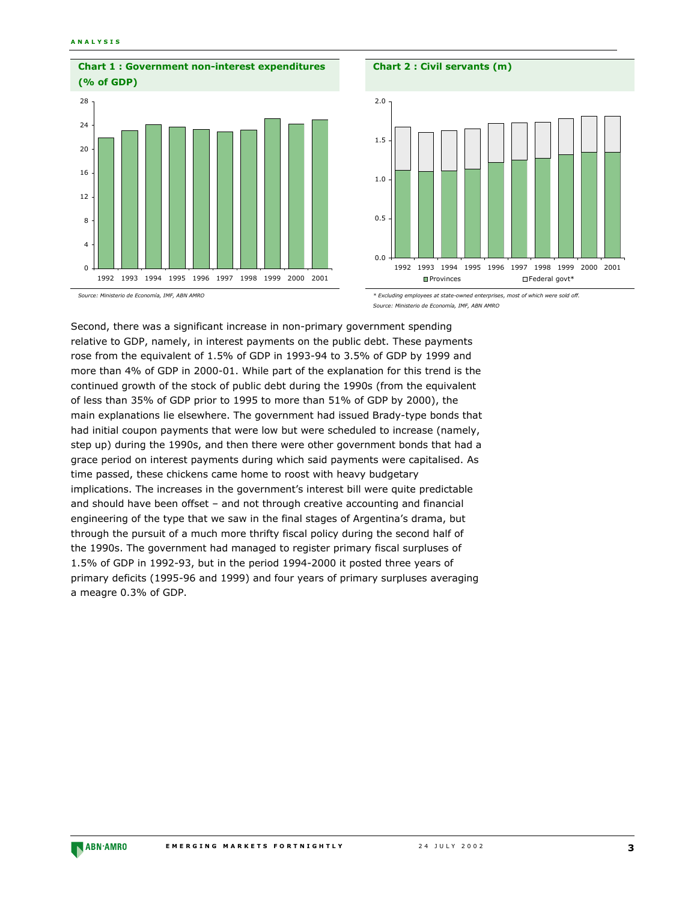

## **Chart 2 : Civil servants (m)**



*Source: Ministerio de EconomÌa, IMF, ABN AMRO*

Second, there was a significant increase in non-primary government spending relative to GDP, namely, in interest payments on the public debt. These payments rose from the equivalent of 1.5% of GDP in 1993-94 to 3.5% of GDP by 1999 and more than 4% of GDP in 2000-01. While part of the explanation for this trend is the continued growth of the stock of public debt during the 1990s (from the equivalent of less than 35% of GDP prior to 1995 to more than 51% of GDP by 2000), the main explanations lie elsewhere. The government had issued Brady-type bonds that had initial coupon payments that were low but were scheduled to increase (namely, step up) during the 1990s, and then there were other government bonds that had a grace period on interest payments during which said payments were capitalised. As time passed, these chickens came home to roost with heavy budgetary implications. The increases in the government's interest bill were quite predictable and should have been offset  $-$  and not through creative accounting and financial engineering of the type that we saw in the final stages of Argentina's drama, but through the pursuit of a much more thrifty fiscal policy during the second half of the 1990s. The government had managed to register primary fiscal surpluses of 1.5% of GDP in 1992-93, but in the period 1994-2000 it posted three years of primary deficits (1995-96 and 1999) and four years of primary surpluses averaging a meagre 0.3% of GDP.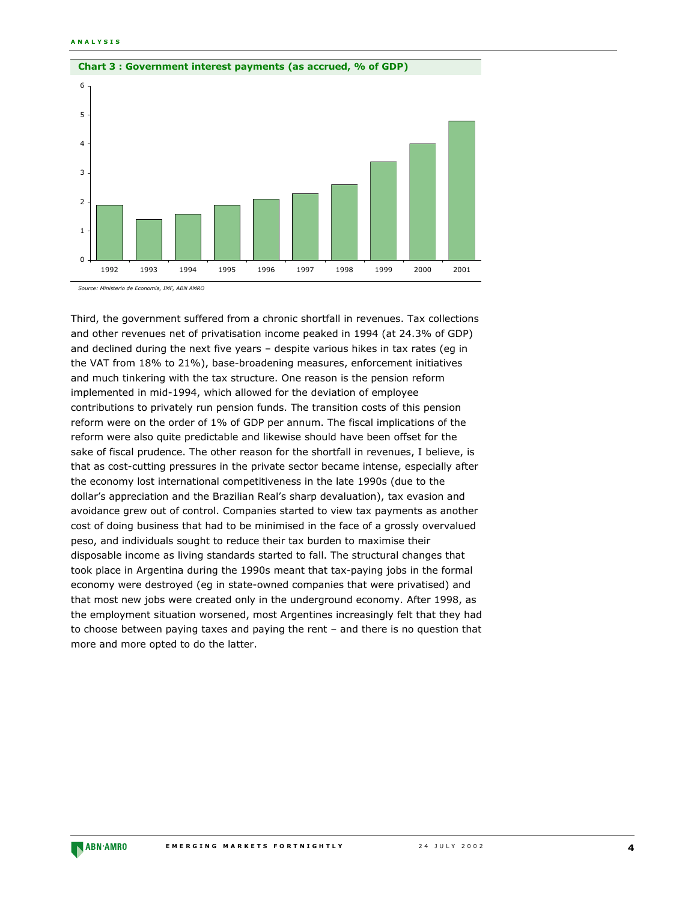

Third, the government suffered from a chronic shortfall in revenues. Tax collections and other revenues net of privatisation income peaked in 1994 (at 24.3% of GDP) and declined during the next five years - despite various hikes in tax rates (eg in the VAT from 18% to 21%), base-broadening measures, enforcement initiatives and much tinkering with the tax structure. One reason is the pension reform implemented in mid-1994, which allowed for the deviation of employee contributions to privately run pension funds. The transition costs of this pension reform were on the order of 1% of GDP per annum. The fiscal implications of the reform were also quite predictable and likewise should have been offset for the sake of fiscal prudence. The other reason for the shortfall in revenues, I believe, is that as cost-cutting pressures in the private sector became intense, especially after the economy lost international competitiveness in the late 1990s (due to the dollarís appreciation and the Brazilian Realís sharp devaluation), tax evasion and avoidance grew out of control. Companies started to view tax payments as another cost of doing business that had to be minimised in the face of a grossly overvalued peso, and individuals sought to reduce their tax burden to maximise their disposable income as living standards started to fall. The structural changes that took place in Argentina during the 1990s meant that tax-paying jobs in the formal economy were destroyed (eg in state-owned companies that were privatised) and that most new jobs were created only in the underground economy. After 1998, as the employment situation worsened, most Argentines increasingly felt that they had to choose between paying taxes and paying the rent - and there is no question that more and more opted to do the latter.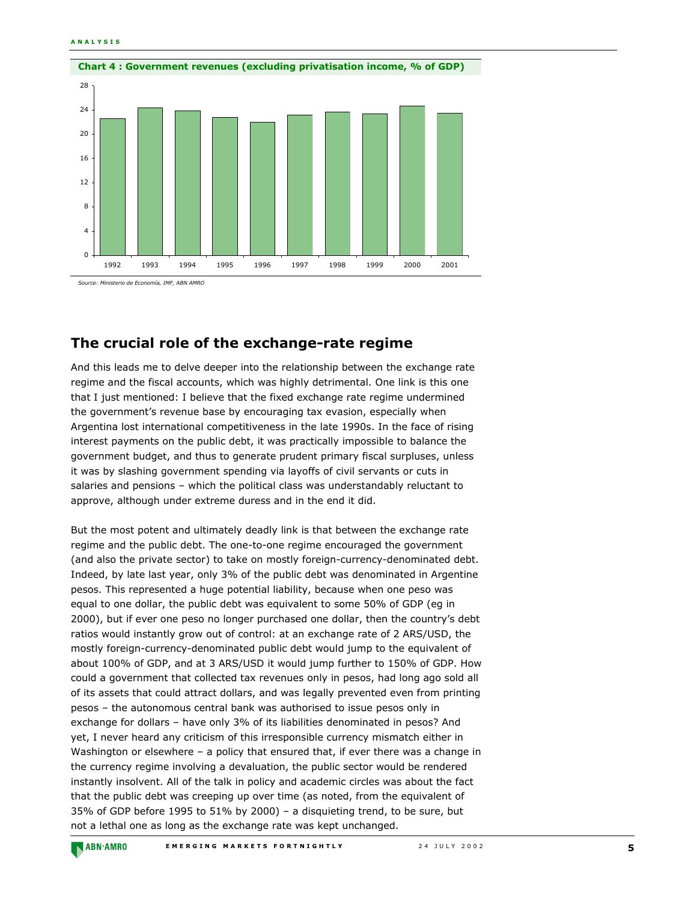

*Source: Ministerio de EconomÌa, IMF, ABN AMRO*

## **The crucial role of the exchange-rate regime**

And this leads me to delve deeper into the relationship between the exchange rate regime and the fiscal accounts, which was highly detrimental. One link is this one that I just mentioned: I believe that the fixed exchange rate regime undermined the government's revenue base by encouraging tax evasion, especially when Argentina lost international competitiveness in the late 1990s. In the face of rising interest payments on the public debt, it was practically impossible to balance the government budget, and thus to generate prudent primary fiscal surpluses, unless it was by slashing government spending via layoffs of civil servants or cuts in salaries and pensions  $-$  which the political class was understandably reluctant to approve, although under extreme duress and in the end it did.

But the most potent and ultimately deadly link is that between the exchange rate regime and the public debt. The one-to-one regime encouraged the government (and also the private sector) to take on mostly foreign-currency-denominated debt. Indeed, by late last year, only 3% of the public debt was denominated in Argentine pesos. This represented a huge potential liability, because when one peso was equal to one dollar, the public debt was equivalent to some 50% of GDP (eg in 2000), but if ever one peso no longer purchased one dollar, then the countryís debt ratios would instantly grow out of control: at an exchange rate of 2 ARS/USD, the mostly foreign-currency-denominated public debt would jump to the equivalent of about 100% of GDP, and at 3 ARS/USD it would jump further to 150% of GDP. How could a government that collected tax revenues only in pesos, had long ago sold all of its assets that could attract dollars, and was legally prevented even from printing pesos - the autonomous central bank was authorised to issue pesos only in exchange for dollars - have only 3% of its liabilities denominated in pesos? And yet, I never heard any criticism of this irresponsible currency mismatch either in Washington or elsewhere  $-$  a policy that ensured that, if ever there was a change in the currency regime involving a devaluation, the public sector would be rendered instantly insolvent. All of the talk in policy and academic circles was about the fact that the public debt was creeping up over time (as noted, from the equivalent of 35% of GDP before 1995 to 51% by 2000) – a disquieting trend, to be sure, but not a lethal one as long as the exchange rate was kept unchanged.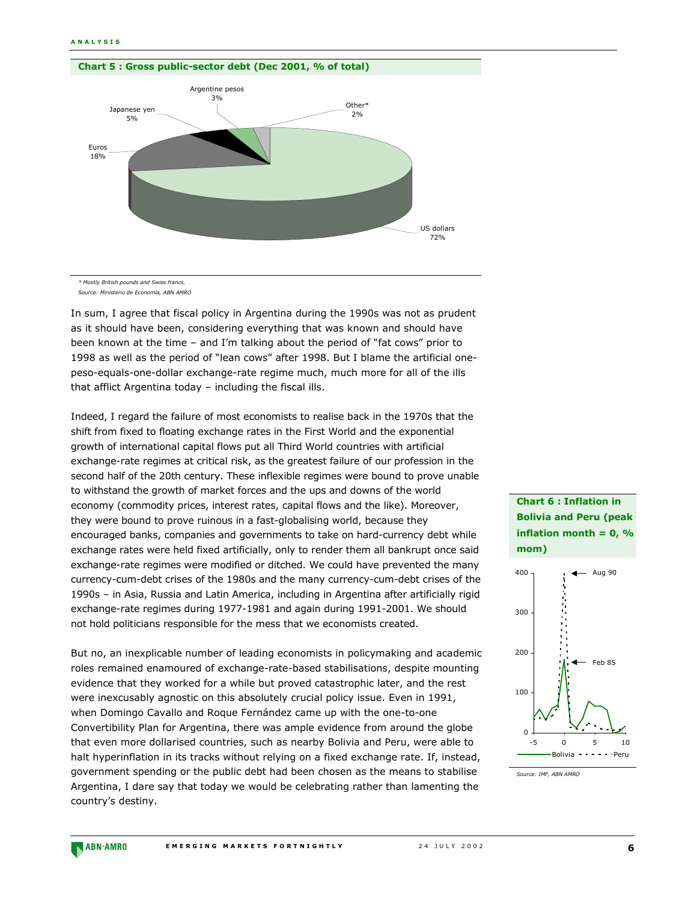

*\* Mostly British pounds and Swiss francs. Source: Ministerio de EconomÌa, ABN AMRO*

In sum, I agree that fiscal policy in Argentina during the 1990s was not as prudent as it should have been, considering everything that was known and should have been known at the time  $-$  and I'm talking about the period of "fat cows" prior to 1998 as well as the period of "lean cows" after 1998. But I blame the artificial onepeso-equals-one-dollar exchange-rate regime much, much more for all of the ills that afflict Argentina today  $-$  including the fiscal ills.

Indeed, I regard the failure of most economists to realise back in the 1970s that the shift from fixed to floating exchange rates in the First World and the exponential growth of international capital flows put all Third World countries with artificial exchange-rate regimes at critical risk, as the greatest failure of our profession in the second half of the 20th century. These inflexible regimes were bound to prove unable to withstand the growth of market forces and the ups and downs of the world economy (commodity prices, interest rates, capital flows and the like). Moreover, they were bound to prove ruinous in a fast-globalising world, because they encouraged banks, companies and governments to take on hard-currency debt while exchange rates were held fixed artificially, only to render them all bankrupt once said exchange-rate regimes were modified or ditched. We could have prevented the many currency-cum-debt crises of the 1980s and the many currency-cum-debt crises of the 1990s - in Asia, Russia and Latin America, including in Argentina after artificially rigid exchange-rate regimes during 1977-1981 and again during 1991-2001. We should not hold politicians responsible for the mess that we economists created.

But no, an inexplicable number of leading economists in policymaking and academic roles remained enamoured of exchange-rate-based stabilisations, despite mounting evidence that they worked for a while but proved catastrophic later, and the rest were inexcusably agnostic on this absolutely crucial policy issue. Even in 1991, when Domingo Cavallo and Roque Fernández came up with the one-to-one Convertibility Plan for Argentina, there was ample evidence from around the globe that even more dollarised countries, such as nearby Bolivia and Peru, were able to halt hyperinflation in its tracks without relying on a fixed exchange rate. If, instead, government spending or the public debt had been chosen as the means to stabilise Argentina, I dare say that today we would be celebrating rather than lamenting the country's destiny.

**Chart 6 : Inflation in Bolivia and Peru (peak inflation month = 0, % mom)**



*Source: IMF, ABN AMRO*